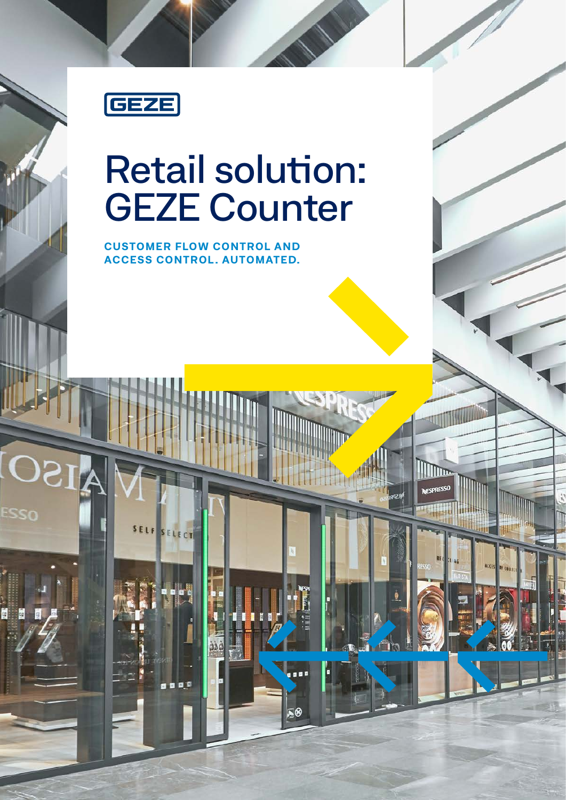

Esso

## Retail solution: GEZE Counter

llin

**CUSTOMER FLOW CONTROL AND ACCESS CONTROL . AUTOMATED.**

SELF SELECT

a a a t

x0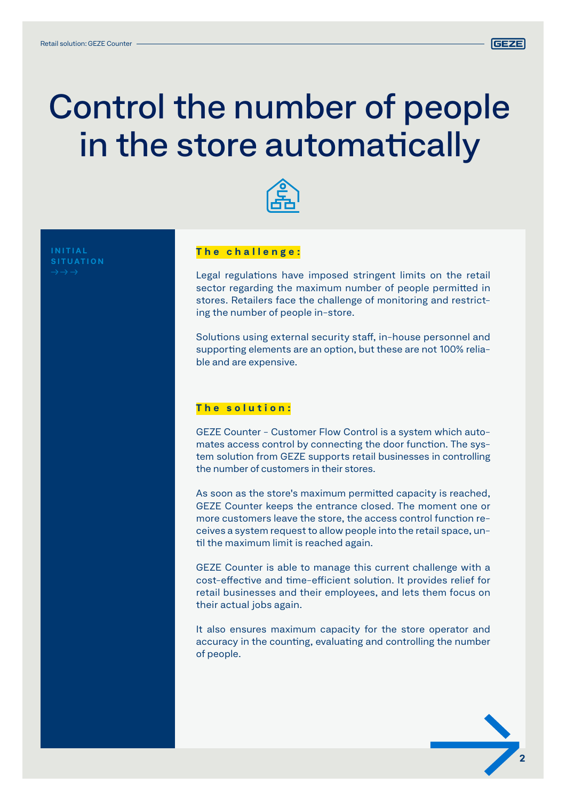

### Control the number of people in the store automatically



**SITUATION**

#### **The challenge:**

Legal regulations have imposed stringent limits on the retail sector regarding the maximum number of people permitted in stores. Retailers face the challenge of monitoring and restricting the number of people in-store.

Solutions using external security staff, in-house personnel and supporting elements are an option, but these are not 100% reliable and are expensive.

#### **The solution:**

GEZE Counter - Customer Flow Control is a system which automates access control by connecting the door function. The system solution from GEZE supports retail businesses in controlling the number of customers in their stores.

As soon as the store's maximum permitted capacity is reached, GEZE Counter keeps the entrance closed. The moment one or more customers leave the store, the access control function receives a system request to allow people into the retail space, until the maximum limit is reached again.

GEZE Counter is able to manage this current challenge with a cost-effective and time-efficient solution. It provides relief for retail businesses and their employees, and lets them focus on their actual jobs again.

It also ensures maximum capacity for the store operator and accuracy in the counting, evaluating and controlling the number of people.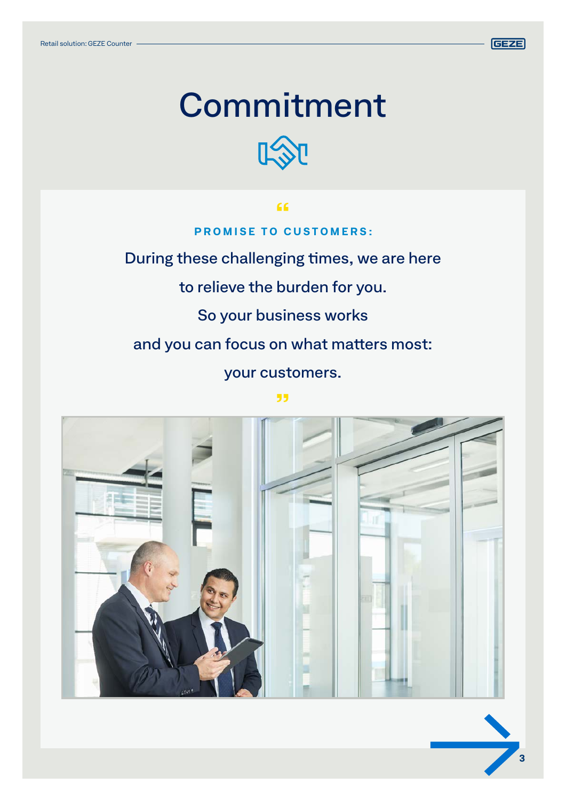

## Commitment



During these challenging times, we are here

to relieve the burden for you.

So your business works

and you can focus on what matters most:

your customers.

"

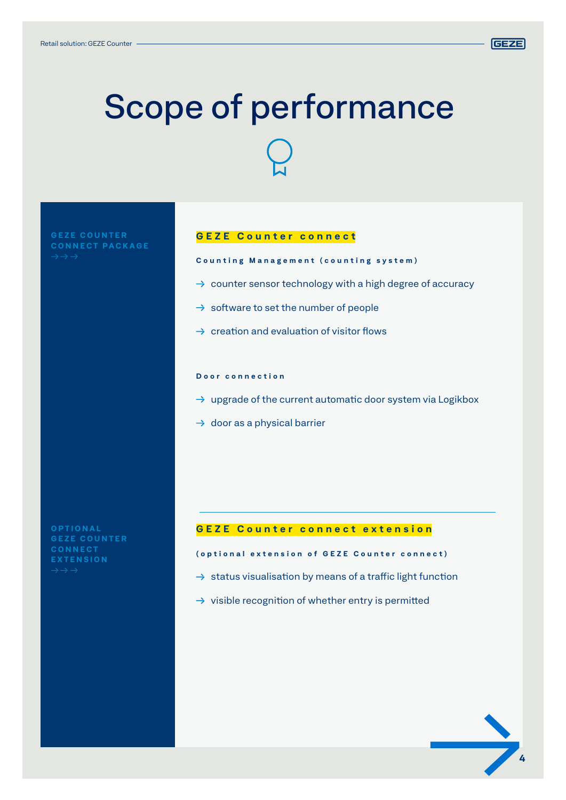

**4**

# Scope of performance

**G E Z E C O U N T E R** 

#### **GEZE Counter connect**

**Counting Management (counting system)**

- $\rightarrow$  counter sensor technology with a high degree of accuracy
- $\rightarrow$  software to set the number of people
- $\rightarrow$  creation and evaluation of visitor flows

#### **Door connection**

- $\rightarrow$  upgrade of the current automatic door system via Logikbox
- $\rightarrow$  door as a physical barrier

**O P T I O N A L G E Z E C O U N T E R CONNECT EXTENSION**

#### **GEZE Counter connect extension**

#### **(optional extension of GEZE Counter connect)**

- $\rightarrow$  status visualisation by means of a traffic light function
- $\rightarrow$  visible recognition of whether entry is permitted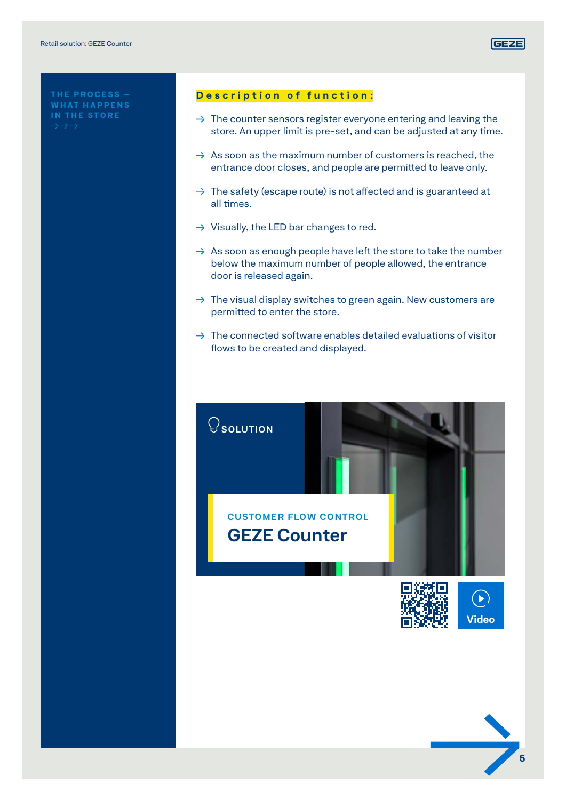**Y**



#### **Description of function:**

- $\rightarrow$  The counter sensors register everyone entering and leaving the store. An upper limit is pre-set, and can be adjusted at any time.
- $\rightarrow$  As soon as the maximum number of customers is reached, the entrance door closes, and people are permitted to leave only.
- $\rightarrow$  The safety (escape route) is not affected and is guaranteed at all times.
- $\rightarrow$  Visually, the LED bar changes to red.
- $\rightarrow$  As soon as enough people have left the store to take the number below the maximum number of people allowed, the entrance door is released again.
- $\rightarrow$  The visual display switches to green again. New customers are permitted to enter the store.
- $\rightarrow$  The connected software enables detailed evaluations of visitor flows to be created and displayed.



**GEZE**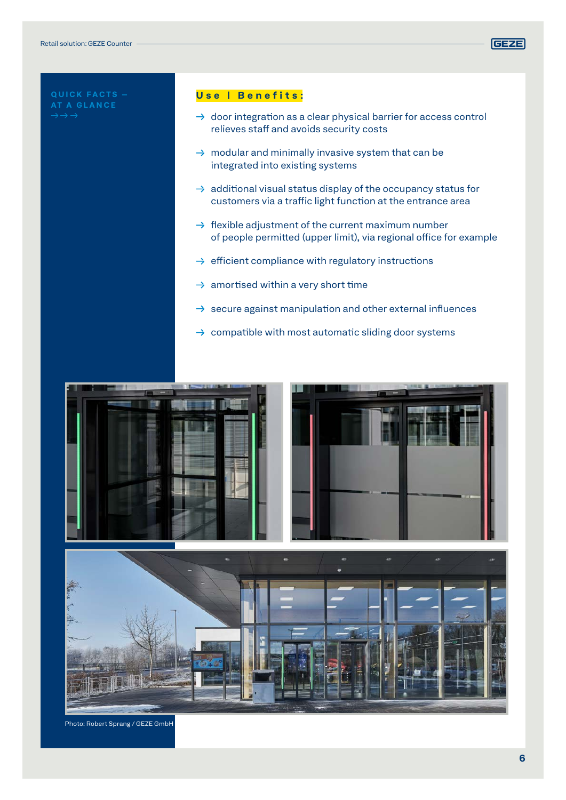

#### **Use | Benefits:**

- $\rightarrow$  door integration as a clear physical barrier for access control relieves staff and avoids security costs
- $\rightarrow$  modular and minimally invasive system that can be integrated into existing systems
- $\rightarrow$  additional visual status display of the occupancy status for customers via a traffic light function at the entrance area
- $\rightarrow$  flexible adjustment of the current maximum number of people permitted (upper limit), via regional office for example
- $\rightarrow$  efficient compliance with regulatory instructions
- $\rightarrow$  amortised within a very short time
- $\rightarrow$  secure against manipulation and other external influences
- $\rightarrow$  compatible with most automatic sliding door systems





Photo: Robert Sprang / GEZE GmbH